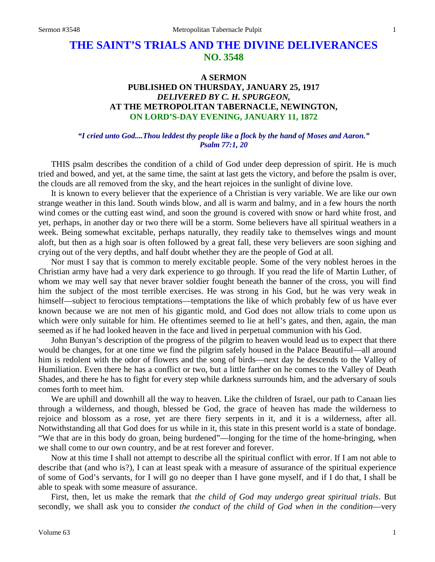# **THE SAINT'S TRIALS AND THE DIVINE DELIVERANCES NO. 3548**

## **A SERMON PUBLISHED ON THURSDAY, JANUARY 25, 1917** *DELIVERED BY C. H. SPURGEON,* **AT THE METROPOLITAN TABERNACLE, NEWINGTON, ON LORD'S-DAY EVENING, JANUARY 11, 1872**

#### *"I cried unto God....Thou leddest thy people like a flock by the hand of Moses and Aaron." Psalm 77:1, 20*

THIS psalm describes the condition of a child of God under deep depression of spirit. He is much tried and bowed, and yet, at the same time, the saint at last gets the victory, and before the psalm is over, the clouds are all removed from the sky, and the heart rejoices in the sunlight of divine love.

It is known to every believer that the experience of a Christian is very variable. We are like our own strange weather in this land. South winds blow, and all is warm and balmy, and in a few hours the north wind comes or the cutting east wind, and soon the ground is covered with snow or hard white frost, and yet, perhaps, in another day or two there will be a storm. Some believers have all spiritual weathers in a week. Being somewhat excitable, perhaps naturally, they readily take to themselves wings and mount aloft, but then as a high soar is often followed by a great fall, these very believers are soon sighing and crying out of the very depths, and half doubt whether they are the people of God at all.

Nor must I say that is common to merely excitable people. Some of the very noblest heroes in the Christian army have had a very dark experience to go through. If you read the life of Martin Luther, of whom we may well say that never braver soldier fought beneath the banner of the cross, you will find him the subject of the most terrible exercises. He was strong in his God, but he was very weak in himself—subject to ferocious temptations—temptations the like of which probably few of us have ever known because we are not men of his gigantic mold, and God does not allow trials to come upon us which were only suitable for him. He oftentimes seemed to lie at hell's gates, and then, again, the man seemed as if he had looked heaven in the face and lived in perpetual communion with his God.

John Bunyan's description of the progress of the pilgrim to heaven would lead us to expect that there would be changes, for at one time we find the pilgrim safely housed in the Palace Beautiful—all around him is redolent with the odor of flowers and the song of birds—next day he descends to the Valley of Humiliation. Even there he has a conflict or two, but a little farther on he comes to the Valley of Death Shades, and there he has to fight for every step while darkness surrounds him, and the adversary of souls comes forth to meet him.

We are uphill and downhill all the way to heaven. Like the children of Israel, our path to Canaan lies through a wilderness, and though, blessed be God, the grace of heaven has made the wilderness to rejoice and blossom as a rose, yet are there fiery serpents in it, and it is a wilderness, after all. Notwithstanding all that God does for us while in it, this state in this present world is a state of bondage. "We that are in this body do groan, being burdened"—longing for the time of the home-bringing, when we shall come to our own country, and be at rest forever and forever.

Now at this time I shall not attempt to describe all the spiritual conflict with error. If I am not able to describe that (and who is?), I can at least speak with a measure of assurance of the spiritual experience of some of God's servants, for I will go no deeper than I have gone myself, and if I do that, I shall be able to speak with some measure of assurance.

First, then, let us make the remark that *the child of God may undergo great spiritual trials*. But secondly, we shall ask you to consider *the conduct of the child of God when in the condition*—very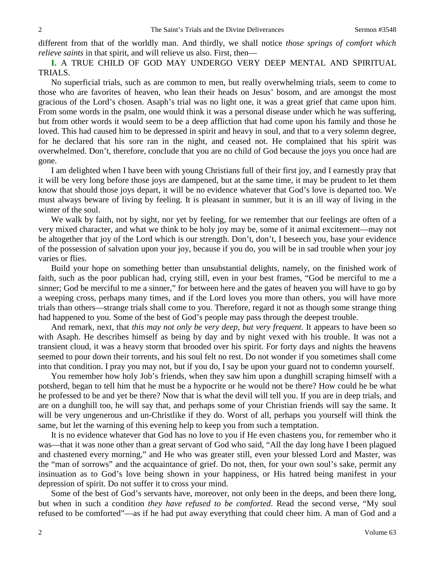different from that of the worldly man. And thirdly, we shall notice *those springs of comfort which relieve saints* in that spirit, and will relieve us also. First, then—

**I.** A TRUE CHILD OF GOD MAY UNDERGO VERY DEEP MENTAL AND SPIRITUAL TRIALS.

No superficial trials, such as are common to men, but really overwhelming trials, seem to come to those who are favorites of heaven, who lean their heads on Jesus' bosom, and are amongst the most gracious of the Lord's chosen. Asaph's trial was no light one, it was a great grief that came upon him. From some words in the psalm, one would think it was a personal disease under which he was suffering, but from other words it would seem to be a deep affliction that had come upon his family and those he loved. This had caused him to be depressed in spirit and heavy in soul, and that to a very solemn degree, for he declared that his sore ran in the night, and ceased not. He complained that his spirit was overwhelmed. Don't, therefore, conclude that you are no child of God because the joys you once had are gone.

I am delighted when I have been with young Christians full of their first joy, and I earnestly pray that it will be very long before those joys are dampened, but at the same time, it may be prudent to let them know that should those joys depart, it will be no evidence whatever that God's love is departed too. We must always beware of living by feeling. It is pleasant in summer, but it is an ill way of living in the winter of the soul.

We walk by faith, not by sight, nor yet by feeling, for we remember that our feelings are often of a very mixed character, and what we think to be holy joy may be, some of it animal excitement—may not be altogether that joy of the Lord which is our strength. Don't, don't, I beseech you, base your evidence of the possession of salvation upon your joy, because if you do, you will be in sad trouble when your joy varies or flies.

Build your hope on something better than unsubstantial delights, namely, on the finished work of faith, such as the poor publican had, crying still, even in your best frames, "God be merciful to me a sinner; God be merciful to me a sinner," for between here and the gates of heaven you will have to go by a weeping cross, perhaps many times, and if the Lord loves you more than others, you will have more trials than others—strange trials shall come to you. Therefore, regard it not as though some strange thing had happened to you. Some of the best of God's people may pass through the deepest trouble.

And remark, next, that *this may not only be very deep, but very frequent*. It appears to have been so with Asaph. He describes himself as being by day and by night vexed with his trouble. It was not a transient cloud, it was a heavy storm that brooded over his spirit. For forty days and nights the heavens seemed to pour down their torrents, and his soul felt no rest. Do not wonder if you sometimes shall come into that condition. I pray you may not, but if you do, I say be upon your guard not to condemn yourself.

You remember how holy Job's friends, when they saw him upon a dunghill scraping himself with a potsherd, began to tell him that he must be a hypocrite or he would not be there? How could he be what he professed to be and yet be there? Now that is what the devil will tell you. If you are in deep trials, and are on a dunghill too, he will say that, and perhaps some of your Christian friends will say the same. It will be very ungenerous and un-Christlike if they do. Worst of all, perhaps you yourself will think the same, but let the warning of this evening help to keep you from such a temptation.

It is no evidence whatever that God has no love to you if He even chastens you, for remember who it was—that it was none other than a great servant of God who said, "All the day long have I been plagued and chastened every morning," and He who was greater still, even your blessed Lord and Master, was the "man of sorrows" and the acquaintance of grief. Do not, then, for your own soul's sake, permit any insinuation as to God's love being shown in your happiness, or His hatred being manifest in your depression of spirit. Do not suffer it to cross your mind.

Some of the best of God's servants have, moreover, not only been in the deeps, and been there long, but when in such a condition *they have refused to be comforted*. Read the second verse, "My soul refused to be comforted"—as if he had put away everything that could cheer him. A man of God and a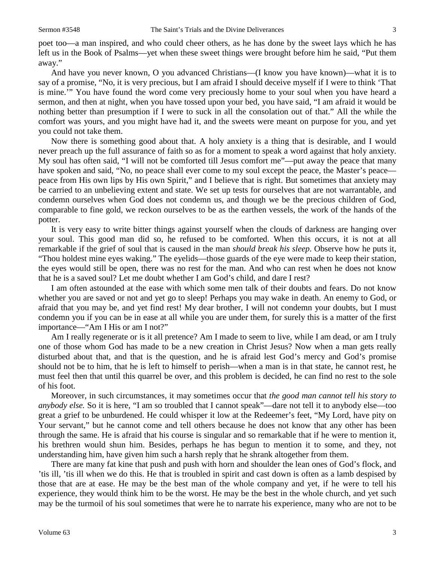poet too—a man inspired, and who could cheer others, as he has done by the sweet lays which he has left us in the Book of Psalms—yet when these sweet things were brought before him he said, "Put them away."

And have you never known, O you advanced Christians—(I know you have known)—what it is to say of a promise, "No, it is very precious, but I am afraid I should deceive myself if I were to think 'That is mine.'" You have found the word come very preciously home to your soul when you have heard a sermon, and then at night, when you have tossed upon your bed, you have said, "I am afraid it would be nothing better than presumption if I were to suck in all the consolation out of that." All the while the comfort was yours, and you might have had it, and the sweets were meant on purpose for you, and yet you could not take them.

Now there is something good about that. A holy anxiety is a thing that is desirable, and I would never preach up the full assurance of faith so as for a moment to speak a word against that holy anxiety. My soul has often said, "I will not be comforted till Jesus comfort me"—put away the peace that many have spoken and said, "No, no peace shall ever come to my soul except the peace, the Master's peace peace from His own lips by His own Spirit," and I believe that is right. But sometimes that anxiety may be carried to an unbelieving extent and state. We set up tests for ourselves that are not warrantable, and condemn ourselves when God does not condemn us, and though we be the precious children of God, comparable to fine gold, we reckon ourselves to be as the earthen vessels, the work of the hands of the potter.

It is very easy to write bitter things against yourself when the clouds of darkness are hanging over your soul. This good man did so, he refused to be comforted. When this occurs, it is not at all remarkable if the grief of soul that is caused in the man *should break his sleep*. Observe how he puts it, "Thou holdest mine eyes waking." The eyelids—those guards of the eye were made to keep their station, the eyes would still be open, there was no rest for the man. And who can rest when he does not know that he is a saved soul? Let me doubt whether I am God's child, and dare I rest?

I am often astounded at the ease with which some men talk of their doubts and fears. Do not know whether you are saved or not and yet go to sleep! Perhaps you may wake in death. An enemy to God, or afraid that you may be, and yet find rest! My dear brother, I will not condemn your doubts, but I must condemn you if you can be in ease at all while you are under them, for surely this is a matter of the first importance—"Am I His or am I not?"

Am I really regenerate or is it all pretence? Am I made to seem to live, while I am dead, or am I truly one of those whom God has made to be a new creation in Christ Jesus? Now when a man gets really disturbed about that, and that is the question, and he is afraid lest God's mercy and God's promise should not be to him, that he is left to himself to perish—when a man is in that state, he cannot rest, he must feel then that until this quarrel be over, and this problem is decided, he can find no rest to the sole of his foot.

Moreover, in such circumstances, it may sometimes occur that *the good man cannot tell his story to anybody else.* So it is here, "I am so troubled that I cannot speak"—dare not tell it to anybody else—too great a grief to be unburdened. He could whisper it low at the Redeemer's feet, "My Lord, have pity on Your servant," but he cannot come and tell others because he does not know that any other has been through the same. He is afraid that his course is singular and so remarkable that if he were to mention it, his brethren would shun him. Besides, perhaps he has begun to mention it to some, and they, not understanding him, have given him such a harsh reply that he shrank altogether from them.

There are many fat kine that push and push with horn and shoulder the lean ones of God's flock, and 'tis ill, 'tis ill when we do this. He that is troubled in spirit and cast down is often as a lamb despised by those that are at ease. He may be the best man of the whole company and yet, if he were to tell his experience, they would think him to be the worst. He may be the best in the whole church, and yet such may be the turmoil of his soul sometimes that were he to narrate his experience, many who are not to be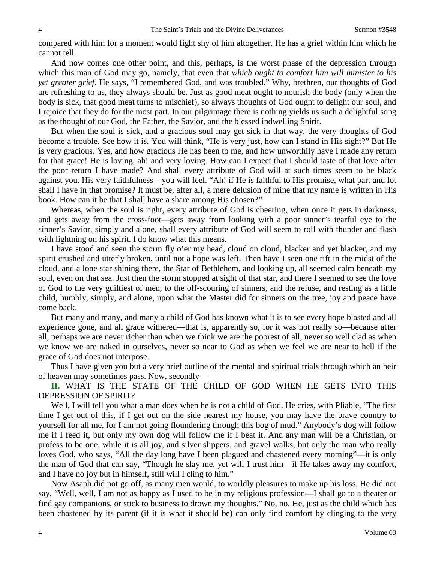compared with him for a moment would fight shy of him altogether. He has a grief within him which he cannot tell.

And now comes one other point, and this, perhaps, is the worst phase of the depression through which this man of God may go, namely, that even that *which ought to comfort him will minister to his yet greater grief*. He says, "I remembered God, and was troubled." Why, brethren, our thoughts of God are refreshing to us, they always should be. Just as good meat ought to nourish the body (only when the body is sick, that good meat turns to mischief), so always thoughts of God ought to delight our soul, and I rejoice that they do for the most part. In our pilgrimage there is nothing yields us such a delightful song as the thought of our God, the Father, the Savior, and the blessed indwelling Spirit.

But when the soul is sick, and a gracious soul may get sick in that way, the very thoughts of God become a trouble. See how it is. You will think, "He is very just, how can I stand in His sight?" But He is very gracious. Yes, and how gracious He has been to me, and how unworthily have I made any return for that grace! He is loving, ah! and very loving. How can I expect that I should taste of that love after the poor return I have made? And shall every attribute of God will at such times seem to be black against you. His very faithfulness—you will feel. "Ah! if He is faithful to His promise, what part and lot shall I have in that promise? It must be, after all, a mere delusion of mine that my name is written in His book. How can it be that I shall have a share among His chosen?"

Whereas, when the soul is right, every attribute of God is cheering, when once it gets in darkness, and gets away from the cross-foot—gets away from looking with a poor sinner's tearful eye to the sinner's Savior, simply and alone, shall every attribute of God will seem to roll with thunder and flash with lightning on his spirit. I do know what this means.

I have stood and seen the storm fly o'er my head, cloud on cloud, blacker and yet blacker, and my spirit crushed and utterly broken, until not a hope was left. Then have I seen one rift in the midst of the cloud, and a lone star shining there, the Star of Bethlehem, and looking up, all seemed calm beneath my soul, even on that sea. Just then the storm stopped at sight of that star, and there I seemed to see the love of God to the very guiltiest of men, to the off-scouring of sinners, and the refuse, and resting as a little child, humbly, simply, and alone, upon what the Master did for sinners on the tree, joy and peace have come back.

But many and many, and many a child of God has known what it is to see every hope blasted and all experience gone, and all grace withered—that is, apparently so, for it was not really so—because after all, perhaps we are never richer than when we think we are the poorest of all, never so well clad as when we know we are naked in ourselves, never so near to God as when we feel we are near to hell if the grace of God does not interpose.

Thus I have given you but a very brief outline of the mental and spiritual trials through which an heir of heaven may sometimes pass. Now, secondly—

**II.** WHAT IS THE STATE OF THE CHILD OF GOD WHEN HE GETS INTO THIS DEPRESSION OF SPIRIT?

Well, I will tell you what a man does when he is not a child of God. He cries, with Pliable, "The first time I get out of this, if I get out on the side nearest my house, you may have the brave country to yourself for all me, for I am not going floundering through this bog of mud." Anybody's dog will follow me if I feed it, but only my own dog will follow me if I beat it. And any man will be a Christian, or profess to be one, while it is all joy, and silver slippers, and gravel walks, but only the man who really loves God, who says, "All the day long have I been plagued and chastened every morning"—it is only the man of God that can say, "Though he slay me, yet will I trust him—if He takes away my comfort, and I have no joy but in himself, still will I cling to him."

Now Asaph did not go off, as many men would, to worldly pleasures to make up his loss. He did not say, "Well, well, I am not as happy as I used to be in my religious profession—I shall go to a theater or find gay companions, or stick to business to drown my thoughts." No, no. He, just as the child which has been chastened by its parent (if it is what it should be) can only find comfort by clinging to the very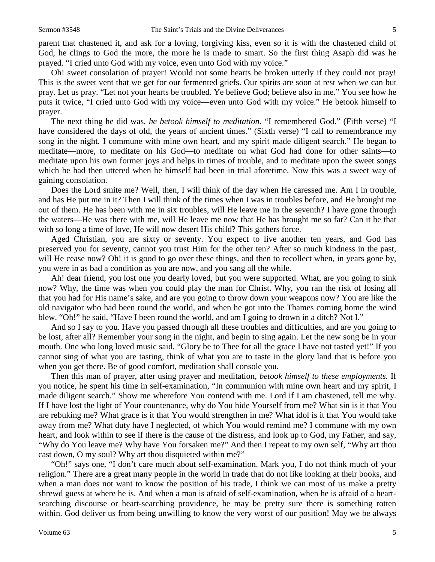parent that chastened it, and ask for a loving, forgiving kiss, even so it is with the chastened child of God, he clings to God the more, the more he is made to smart. So the first thing Asaph did was he prayed. "I cried unto God with my voice, even unto God with my voice."

Oh! sweet consolation of prayer! Would not some hearts be broken utterly if they could not pray! This is the sweet vent that we get for our fermented griefs. Our spirits are soon at rest when we can but pray. Let us pray. "Let not your hearts be troubled. Ye believe God; believe also in me." You see how he puts it twice, "I cried unto God with my voice—even unto God with my voice." He betook himself to prayer.

The next thing he did was, *he betook himself to meditation*. "I remembered God." (Fifth verse) "I have considered the days of old, the years of ancient times." (Sixth verse) "I call to remembrance my song in the night. I commune with mine own heart, and my spirit made diligent search." He began to meditate—more, to meditate on his God—to meditate on what God had done for other saints—to meditate upon his own former joys and helps in times of trouble, and to meditate upon the sweet songs which he had then uttered when he himself had been in trial aforetime. Now this was a sweet way of gaining consolation.

Does the Lord smite me? Well, then, I will think of the day when He caressed me. Am I in trouble, and has He put me in it? Then I will think of the times when I was in troubles before, and He brought me out of them. He has been with me in six troubles, will He leave me in the seventh? I have gone through the waters—He was there with me, will He leave me now that He has brought me so far? Can it be that with so long a time of love, He will now desert His child? This gathers force.

Aged Christian, you are sixty or seventy. You expect to live another ten years, and God has preserved you for seventy, cannot you trust Him for the other ten? After so much kindness in the past, will He cease now? Oh! it is good to go over these things, and then to recollect when, in years gone by, you were in as bad a condition as you are now, and you sang all the while.

Ah! dear friend, you lost one you dearly loved, but you were supported. What, are you going to sink now? Why, the time was when you could play the man for Christ. Why, you ran the risk of losing all that you had for His name's sake, and are you going to throw down your weapons now? You are like the old navigator who had been round the world, and when he got into the Thames coming home the wind blew. "Oh!" he said, "Have I been round the world, and am I going to drown in a ditch? Not I."

And so I say to you. Have you passed through all these troubles and difficulties, and are you going to be lost, after all? Remember your song in the night, and begin to sing again. Let the new song be in your mouth. One who long loved music said, "Glory be to Thee for all the grace I have not tasted yet!" If you cannot sing of what you are tasting, think of what you are to taste in the glory land that is before you when you get there. Be of good comfort, meditation shall console you.

Then this man of prayer, after using prayer and meditation, *betook himself to these employments.* If you notice, he spent his time in self-examination, "In communion with mine own heart and my spirit, I made diligent search." Show me wherefore You contend with me. Lord if I am chastened, tell me why. If I have lost the light of Your countenance, why do You hide Yourself from me? What sin is it that You are rebuking me? What grace is it that You would strengthen in me? What idol is it that You would take away from me? What duty have I neglected, of which You would remind me? I commune with my own heart, and look within to see if there is the cause of the distress, and look up to God, my Father, and say, "Why do You leave me? Why have You forsaken me?" And then I repeat to my own self, "Why art thou cast down, O my soul? Why art thou disquieted within me?"

"Oh!" says one, "I don't care much about self-examination. Mark you, I do not think much of your religion." There are a great many people in the world in trade that do not like looking at their books, and when a man does not want to know the position of his trade, I think we can most of us make a pretty shrewd guess at where he is. And when a man is afraid of self-examination, when he is afraid of a heartsearching discourse or heart-searching providence, he may be pretty sure there is something rotten within. God deliver us from being unwilling to know the very worst of our position! May we be always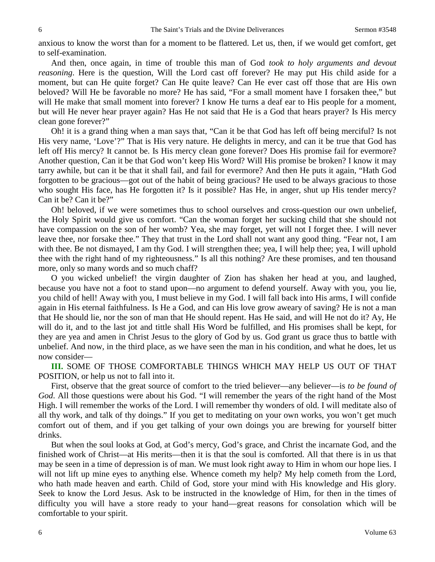anxious to know the worst than for a moment to be flattered. Let us, then, if we would get comfort, get to self-examination.

And then, once again, in time of trouble this man of God *took to holy arguments and devout reasoning*. Here is the question, Will the Lord cast off forever? He may put His child aside for a moment, but can He quite forget? Can He quite leave? Can He ever cast off those that are His own beloved? Will He be favorable no more? He has said, "For a small moment have I forsaken thee," but will He make that small moment into forever? I know He turns a deaf ear to His people for a moment, but will He never hear prayer again? Has He not said that He is a God that hears prayer? Is His mercy clean gone forever?"

Oh! it is a grand thing when a man says that, "Can it be that God has left off being merciful? Is not His very name, 'Love'?" That is His very nature. He delights in mercy, and can it be true that God has left off His mercy? It cannot be. Is His mercy clean gone forever? Does His promise fail for evermore? Another question, Can it be that God won't keep His Word? Will His promise be broken? I know it may tarry awhile, but can it be that it shall fail, and fail for evermore? And then He puts it again, "Hath God forgotten to be gracious—got out of the habit of being gracious? He used to be always gracious to those who sought His face, has He forgotten it? Is it possible? Has He, in anger, shut up His tender mercy? Can it be? Can it be?"

Oh! beloved, if we were sometimes thus to school ourselves and cross-question our own unbelief, the Holy Spirit would give us comfort. "Can the woman forget her sucking child that she should not have compassion on the son of her womb? Yea, she may forget, yet will not I forget thee. I will never leave thee, nor forsake thee." They that trust in the Lord shall not want any good thing. "Fear not, I am with thee. Be not dismayed, I am thy God. I will strengthen thee; yea, I will help thee; yea, I will uphold thee with the right hand of my righteousness." Is all this nothing? Are these promises, and ten thousand more, only so many words and so much chaff?

O you wicked unbelief! the virgin daughter of Zion has shaken her head at you, and laughed, because you have not a foot to stand upon—no argument to defend yourself. Away with you, you lie, you child of hell! Away with you, I must believe in my God. I will fall back into His arms, I will confide again in His eternal faithfulness. Is He a God, and can His love grow aweary of saving? He is not a man that He should lie, nor the son of man that He should repent. Has He said, and will He not do it? Ay, He will do it, and to the last jot and tittle shall His Word be fulfilled, and His promises shall be kept, for they are yea and amen in Christ Jesus to the glory of God by us. God grant us grace thus to battle with unbelief. And now, in the third place, as we have seen the man in his condition, and what he does, let us now consider—

**III.** SOME OF THOSE COMFORTABLE THINGS WHICH MAY HELP US OUT OF THAT POSITION, or help us not to fall into it.

First, observe that the great source of comfort to the tried believer—any believer—is *to be found of God*. All those questions were about his God. "I will remember the years of the right hand of the Most High. I will remember the works of the Lord. I will remember thy wonders of old. I will meditate also of all thy work, and talk of thy doings." If you get to meditating on your own works, you won't get much comfort out of them, and if you get talking of your own doings you are brewing for yourself bitter drinks.

But when the soul looks at God, at God's mercy, God's grace, and Christ the incarnate God, and the finished work of Christ—at His merits—then it is that the soul is comforted. All that there is in us that may be seen in a time of depression is of man. We must look right away to Him in whom our hope lies. I will not lift up mine eyes to anything else. Whence cometh my help? My help cometh from the Lord, who hath made heaven and earth. Child of God, store your mind with His knowledge and His glory. Seek to know the Lord Jesus. Ask to be instructed in the knowledge of Him, for then in the times of difficulty you will have a store ready to your hand—great reasons for consolation which will be comfortable to your spirit.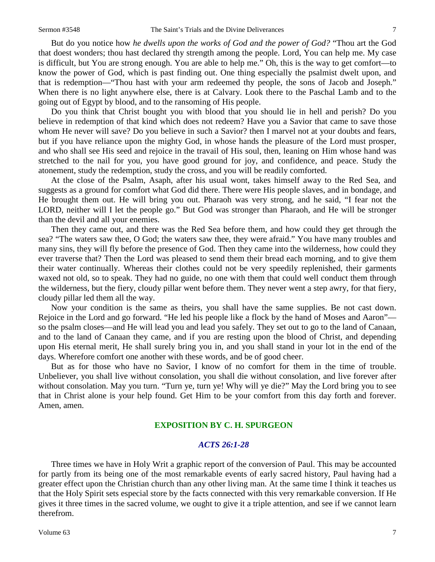But do you notice how *he dwells upon the works of God and the power of God?* "Thou art the God that doest wonders; thou hast declared thy strength among the people. Lord, You can help me. My case is difficult, but You are strong enough. You are able to help me." Oh, this is the way to get comfort—to know the power of God, which is past finding out. One thing especially the psalmist dwelt upon, and that is redemption—"Thou hast with your arm redeemed thy people, the sons of Jacob and Joseph." When there is no light anywhere else, there is at Calvary. Look there to the Paschal Lamb and to the going out of Egypt by blood, and to the ransoming of His people.

Do you think that Christ bought you with blood that you should lie in hell and perish? Do you believe in redemption of that kind which does not redeem? Have you a Savior that came to save those whom He never will save? Do you believe in such a Savior? then I marvel not at your doubts and fears, but if you have reliance upon the mighty God, in whose hands the pleasure of the Lord must prosper, and who shall see His seed and rejoice in the travail of His soul, then, leaning on Him whose hand was stretched to the nail for you, you have good ground for joy, and confidence, and peace. Study the atonement, study the redemption, study the cross, and you will be readily comforted.

At the close of the Psalm, Asaph, after his usual wont, takes himself away to the Red Sea, and suggests as a ground for comfort what God did there. There were His people slaves, and in bondage, and He brought them out. He will bring you out. Pharaoh was very strong, and he said, "I fear not the LORD, neither will I let the people go." But God was stronger than Pharaoh, and He will be stronger than the devil and all your enemies.

Then they came out, and there was the Red Sea before them, and how could they get through the sea? "The waters saw thee, O God; the waters saw thee, they were afraid." You have many troubles and many sins, they will fly before the presence of God. Then they came into the wilderness, how could they ever traverse that? Then the Lord was pleased to send them their bread each morning, and to give them their water continually. Whereas their clothes could not be very speedily replenished, their garments waxed not old, so to speak. They had no guide, no one with them that could well conduct them through the wilderness, but the fiery, cloudy pillar went before them. They never went a step awry, for that fiery, cloudy pillar led them all the way.

Now your condition is the same as theirs, you shall have the same supplies. Be not cast down. Rejoice in the Lord and go forward. "He led his people like a flock by the hand of Moses and Aaron" so the psalm closes—and He will lead you and lead you safely. They set out to go to the land of Canaan, and to the land of Canaan they came, and if you are resting upon the blood of Christ, and depending upon His eternal merit, He shall surely bring you in, and you shall stand in your lot in the end of the days. Wherefore comfort one another with these words, and be of good cheer.

But as for those who have no Savior, I know of no comfort for them in the time of trouble. Unbeliever, you shall live without consolation, you shall die without consolation, and live forever after without consolation. May you turn. "Turn ye, turn ye! Why will ye die?" May the Lord bring you to see that in Christ alone is your help found. Get Him to be your comfort from this day forth and forever. Amen, amen.

### **EXPOSITION BY C. H. SPURGEON**

#### *ACTS 26:1-28*

Three times we have in Holy Writ a graphic report of the conversion of Paul. This may be accounted for partly from its being one of the most remarkable events of early sacred history, Paul having had a greater effect upon the Christian church than any other living man. At the same time I think it teaches us that the Holy Spirit sets especial store by the facts connected with this very remarkable conversion. If He gives it three times in the sacred volume, we ought to give it a triple attention, and see if we cannot learn therefrom.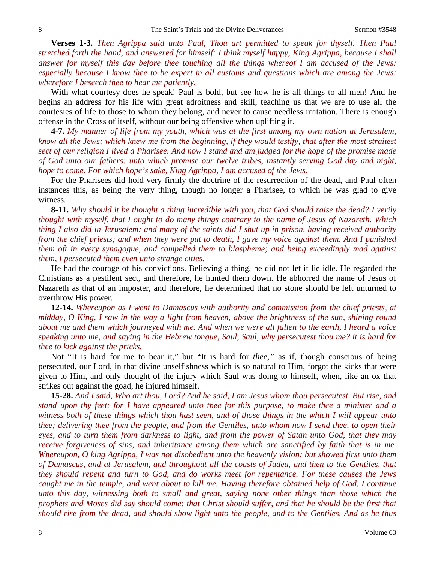**Verses 1-3.** *Then Agrippa said unto Paul, Thou art permitted to speak for thyself. Then Paul stretched forth the hand, and answered for himself: I think myself happy, King Agrippa, because I shall answer for myself this day before thee touching all the things whereof I am accused of the Jews: especially because I know thee to be expert in all customs and questions which are among the Jews: wherefore I beseech thee to hear me patiently.* 

With what courtesy does he speak! Paul is bold, but see how he is all things to all men! And he begins an address for his life with great adroitness and skill, teaching us that we are to use all the courtesies of life to those to whom they belong, and never to cause needless irritation. There is enough offense in the Cross of itself, without our being offensive when uplifting it.

**4-7.** *My manner of life from my youth, which was at the first among my own nation at Jerusalem, know all the Jews; which knew me from the beginning, if they would testify, that after the most straitest sect of our religion I lived a Pharisee. And now I stand and am judged for the hope of the promise made of God unto our fathers: unto which promise our twelve tribes, instantly serving God day and night, hope to come. For which hope's sake, King Agrippa, I am accused of the Jews.*

For the Pharisees did hold very firmly the doctrine of the resurrection of the dead, and Paul often instances this, as being the very thing, though no longer a Pharisee, to which he was glad to give witness.

**8-11.** *Why should it be thought a thing incredible with you, that God should raise the dead? I verily thought with myself, that I ought to do many things contrary to the name of Jesus of Nazareth. Which thing I also did in Jerusalem: and many of the saints did I shut up in prison, having received authority from the chief priests; and when they were put to death, I gave my voice against them. And I punished them oft in every synagogue, and compelled them to blaspheme; and being exceedingly mad against them, I persecuted them even unto strange cities.* 

He had the courage of his convictions. Believing a thing, he did not let it lie idle. He regarded the Christians as a pestilent sect, and therefore, he hunted them down. He abhorred the name of Jesus of Nazareth as that of an imposter, and therefore, he determined that no stone should be left unturned to overthrow His power.

**12-14.** *Whereupon as I went to Damascus with authority and commission from the chief priests, at midday, O King, I saw in the way a light from heaven, above the brightness of the sun, shining round about me and them which journeyed with me. And when we were all fallen to the earth, I heard a voice speaking unto me, and saying in the Hebrew tongue, Saul, Saul, why persecutest thou me? it is hard for thee to kick against the pricks.*

Not "It is hard for me to bear it," but "It is hard for *thee,"* as if, though conscious of being persecuted, our Lord, in that divine unselfishness which is so natural to Him, forgot the kicks that were given to Him, and only thought of the injury which Saul was doing to himself, when, like an ox that strikes out against the goad, he injured himself.

**15-28.** *And I said, Who art thou, Lord? And he said, I am Jesus whom thou persecutest. But rise, and stand upon thy feet: for I have appeared unto thee for this purpose, to make thee a minister and a witness both of these things which thou hast seen, and of those things in the which I will appear unto thee; delivering thee from the people, and from the Gentiles, unto whom now I send thee, to open their eyes, and to turn them from darkness to light, and from the power of Satan unto God, that they may receive forgiveness of sins, and inheritance among them which are sanctified by faith that is in me. Whereupon, O king Agrippa, I was not disobedient unto the heavenly vision: but showed first unto them of Damascus, and at Jerusalem, and throughout all the coasts of Judea, and then to the Gentiles, that they should repent and turn to God, and do works meet for repentance. For these causes the Jews caught me in the temple, and went about to kill me. Having therefore obtained help of God, I continue unto this day, witnessing both to small and great, saying none other things than those which the prophets and Moses did say should come: that Christ should suffer, and that he should be the first that should rise from the dead, and should show light unto the people, and to the Gentiles. And as he thus*